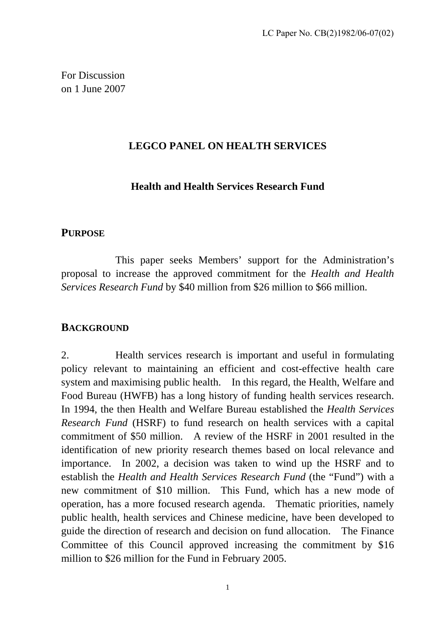For Discussion on 1 June 2007

#### **LEGCO PANEL ON HEALTH SERVICES**

### **Health and Health Services Research Fund**

#### **PURPOSE**

 This paper seeks Members' support for the Administration's proposal to increase the approved commitment for the *Health and Health Services Research Fund* by \$40 million from \$26 million to \$66 million.

#### **BACKGROUND**

2. Health services research is important and useful in formulating policy relevant to maintaining an efficient and cost-effective health care system and maximising public health. In this regard, the Health, Welfare and Food Bureau (HWFB) has a long history of funding health services research. In 1994, the then Health and Welfare Bureau established the *Health Services Research Fund* (HSRF) to fund research on health services with a capital commitment of \$50 million. A review of the HSRF in 2001 resulted in the identification of new priority research themes based on local relevance and importance. In 2002, a decision was taken to wind up the HSRF and to establish the *Health and Health Services Research Fund* (the "Fund") with a new commitment of \$10 million. This Fund, which has a new mode of operation, has a more focused research agenda. Thematic priorities, namely public health, health services and Chinese medicine, have been developed to guide the direction of research and decision on fund allocation. The Finance Committee of this Council approved increasing the commitment by \$16 million to \$26 million for the Fund in February 2005.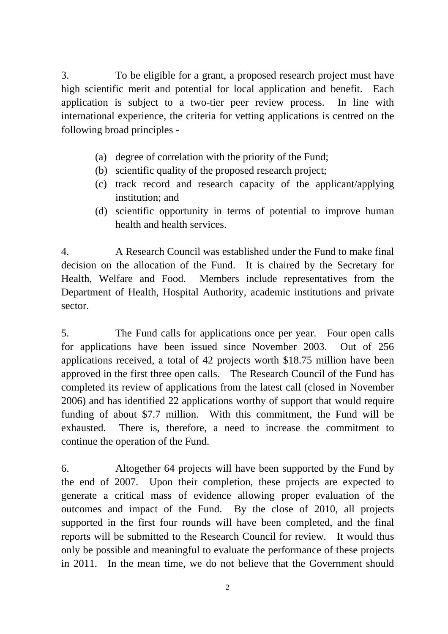3. To be eligible for a grant, a proposed research project must have high scientific merit and potential for local application and benefit. Each application is subject to a two-tier peer review process. In line with international experience, the criteria for vetting applications is centred on the following broad principles -

- (a) degree of correlation with the priority of the Fund;
- (b) scientific quality of the proposed research project;
- (c) track record and research capacity of the applicant/applying institution; and
- (d) scientific opportunity in terms of potential to improve human health and health services.

4. A Research Council was established under the Fund to make final decision on the allocation of the Fund. It is chaired by the Secretary for Health, Welfare and Food. Members include representatives from the Department of Health, Hospital Authority, academic institutions and private sector.

5. The Fund calls for applications once per year. Four open calls for applications have been issued since November 2003. Out of 256 applications received, a total of 42 projects worth \$18.75 million have been approved in the first three open calls. The Research Council of the Fund has completed its review of applications from the latest call (closed in November 2006) and has identified 22 applications worthy of support that would require funding of about \$7.7 million. With this commitment, the Fund will be exhausted. There is, therefore, a need to increase the commitment to continue the operation of the Fund.

6. Altogether 64 projects will have been supported by the Fund by the end of 2007. Upon their completion, these projects are expected to generate a critical mass of evidence allowing proper evaluation of the outcomes and impact of the Fund. By the close of 2010, all projects supported in the first four rounds will have been completed, and the final reports will be submitted to the Research Council for review. It would thus only be possible and meaningful to evaluate the performance of these projects in 2011. In the mean time, we do not believe that the Government should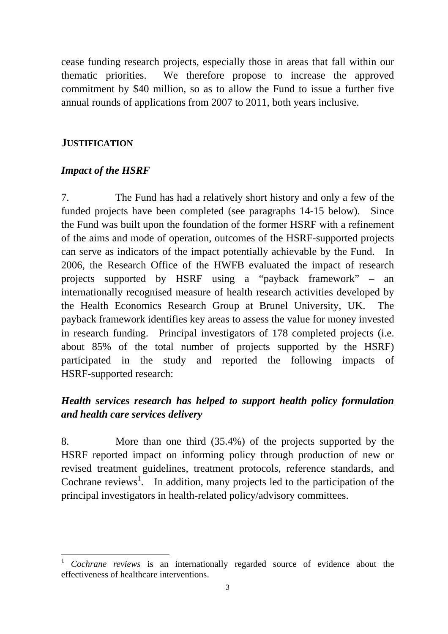cease funding research projects, especially those in areas that fall within our thematic priorities. We therefore propose to increase the approved commitment by \$40 million, so as to allow the Fund to issue a further five annual rounds of applications from 2007 to 2011, both years inclusive.

### **JUSTIFICATION**

### *Impact of the HSRF*

7. The Fund has had a relatively short history and only a few of the funded projects have been completed (see paragraphs 14-15 below). Since the Fund was built upon the foundation of the former HSRF with a refinement of the aims and mode of operation, outcomes of the HSRF-supported projects can serve as indicators of the impact potentially achievable by the Fund. In 2006, the Research Office of the HWFB evaluated the impact of research projects supported by HSRF using a "payback framework" – an internationally recognised measure of health research activities developed by the Health Economics Research Group at Brunel University, UK. The payback framework identifies key areas to assess the value for money invested in research funding. Principal investigators of 178 completed projects (i.e. about 85% of the total number of projects supported by the HSRF) participated in the study and reported the following impacts of HSRF-supported research:

## *Health services research has helped to support health policy formulation and health care services delivery*

8. More than one third (35.4%) of the projects supported by the HSRF reported impact on informing policy through production of new or revised treatment guidelines, treatment protocols, reference standards, and Cochrane reviews<sup>1</sup>. In addition, many projects led to the participation of the principal investigators in health-related policy/advisory committees.

 $\overline{a}$ <sup>1</sup> *Cochrane reviews* is an internationally regarded source of evidence about the effectiveness of healthcare interventions.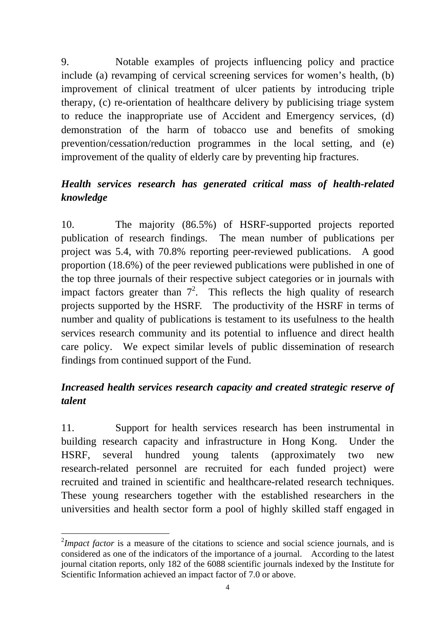9. Notable examples of projects influencing policy and practice include (a) revamping of cervical screening services for women's health, (b) improvement of clinical treatment of ulcer patients by introducing triple therapy, (c) re-orientation of healthcare delivery by publicising triage system to reduce the inappropriate use of Accident and Emergency services, (d) demonstration of the harm of tobacco use and benefits of smoking prevention/cessation/reduction programmes in the local setting, and (e) improvement of the quality of elderly care by preventing hip fractures.

# *Health services research has generated critical mass of health-related knowledge*

10. The majority (86.5%) of HSRF-supported projects reported publication of research findings. The mean number of publications per project was 5.4, with 70.8% reporting peer-reviewed publications. A good proportion (18.6%) of the peer reviewed publications were published in one of the top three journals of their respective subject categories or in journals with impact factors greater than  $7^2$ . This reflects the high quality of research projects supported by the HSRF. The productivity of the HSRF in terms of number and quality of publications is testament to its usefulness to the health services research community and its potential to influence and direct health care policy. We expect similar levels of public dissemination of research findings from continued support of the Fund.

# *Increased health services research capacity and created strategic reserve of talent*

11. Support for health services research has been instrumental in building research capacity and infrastructure in Hong Kong. Under the HSRF, several hundred young talents (approximately two new research-related personnel are recruited for each funded project) were recruited and trained in scientific and healthcare-related research techniques. These young researchers together with the established researchers in the universities and health sector form a pool of highly skilled staff engaged in

 $\overline{a}$ 

<sup>&</sup>lt;sup>2</sup>*Impact factor* is a measure of the citations to science and social science journals, and is considered as one of the indicators of the importance of a journal. According to the latest journal citation reports, only 182 of the 6088 scientific journals indexed by the Institute for Scientific Information achieved an impact factor of 7.0 or above.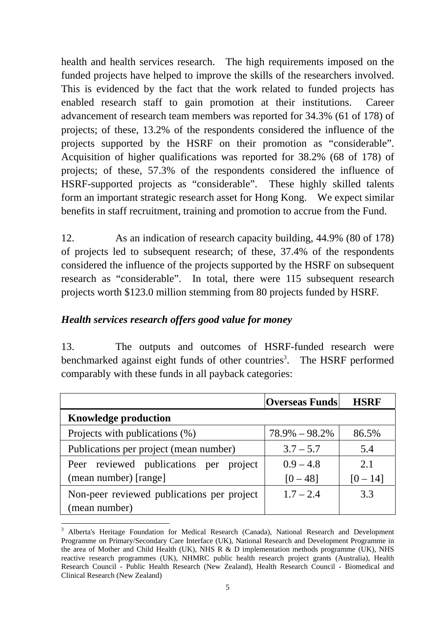health and health services research. The high requirements imposed on the funded projects have helped to improve the skills of the researchers involved. This is evidenced by the fact that the work related to funded projects has enabled research staff to gain promotion at their institutions. Career advancement of research team members was reported for 34.3% (61 of 178) of projects; of these, 13.2% of the respondents considered the influence of the projects supported by the HSRF on their promotion as "considerable". Acquisition of higher qualifications was reported for 38.2% (68 of 178) of projects; of these, 57.3% of the respondents considered the influence of HSRF-supported projects as "considerable". These highly skilled talents form an important strategic research asset for Hong Kong. We expect similar benefits in staff recruitment, training and promotion to accrue from the Fund.

12. As an indication of research capacity building, 44.9% (80 of 178) of projects led to subsequent research; of these, 37.4% of the respondents considered the influence of the projects supported by the HSRF on subsequent research as "considerable". In total, there were 115 subsequent research projects worth \$123.0 million stemming from 80 projects funded by HSRF.

### *Health services research offers good value for money*

 $\overline{a}$ 

13. The outputs and outcomes of HSRF-funded research were benchmarked against eight funds of other countries<sup>3</sup>. The HSRF performed comparably with these funds in all payback categories:

|                                            | <b>Overseas Funds</b> | <b>HSRF</b> |
|--------------------------------------------|-----------------------|-------------|
| <b>Knowledge production</b>                |                       |             |
| Projects with publications (%)             | $78.9\% - 98.2\%$     | 86.5%       |
| Publications per project (mean number)     | $3.7 - 5.7$           | 5.4         |
| Peer reviewed publications per project     | $0.9 - 4.8$           | 2.1         |
| (mean number) [range]                      | $[0 - 48]$            | $[0 - 14]$  |
| Non-peer reviewed publications per project | $1.7 - 2.4$           | 3.3         |
| (mean number)                              |                       |             |

<sup>&</sup>lt;sup>3</sup> Alberta's Heritage Foundation for Medical Research (Canada), National Research and Development Programme on Primary/Secondary Care Interface (UK), National Research and Development Programme in the area of Mother and Child Health (UK), NHS R & D implementation methods programme (UK), NHS reactive research programmes (UK), NHMRC public health research project grants (Australia), Health Research Council - Public Health Research (New Zealand), Health Research Council - Biomedical and Clinical Research (New Zealand)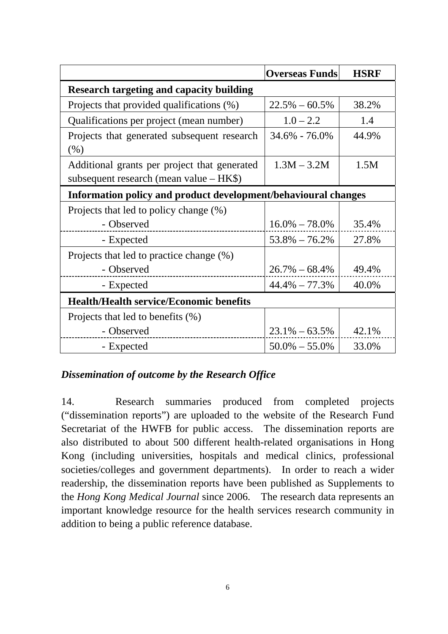|                                                                                         | <b>Overseas Funds</b> | <b>HSRF</b> |  |
|-----------------------------------------------------------------------------------------|-----------------------|-------------|--|
| <b>Research targeting and capacity building</b>                                         |                       |             |  |
| Projects that provided qualifications (%)                                               | $22.5\% - 60.5\%$     | 38.2%       |  |
| Qualifications per project (mean number)                                                | $1.0 - 2.2$           | 1.4         |  |
| Projects that generated subsequent research<br>(% )                                     | 34.6% - 76.0%         | 44.9%       |  |
| Additional grants per project that generated<br>subsequent research (mean value – HK\$) | $1.3M - 3.2M$         | 1.5M        |  |
| Information policy and product development/behavioural changes                          |                       |             |  |
| Projects that led to policy change (%)                                                  |                       |             |  |
| - Observed                                                                              | $16.0\% - 78.0\%$     | 35.4%       |  |
| - Expected                                                                              | $53.8\% - 76.2\%$     | 27.8%       |  |
| Projects that led to practice change (%)                                                |                       |             |  |
| - Observed                                                                              | $26.7\% - 68.4\%$     | 49.4%       |  |
| - Expected                                                                              | $44.4\% - 77.3\%$     | 40.0%       |  |
| <b>Health/Health service/Economic benefits</b>                                          |                       |             |  |
| Projects that led to benefits (%)                                                       |                       |             |  |
| - Observed                                                                              | $23.1\% - 63.5\%$     | 42.1%       |  |
| - Expected                                                                              | $50.0\% - 55.0\%$     | 33.0%       |  |

### *Dissemination of outcome by the Research Office*

14. Research summaries produced from completed projects ("dissemination reports") are uploaded to the website of the Research Fund Secretariat of the HWFB for public access. The dissemination reports are also distributed to about 500 different health-related organisations in Hong Kong (including universities, hospitals and medical clinics, professional societies/colleges and government departments). In order to reach a wider readership, the dissemination reports have been published as Supplements to the *Hong Kong Medical Journal* since 2006. The research data represents an important knowledge resource for the health services research community in addition to being a public reference database.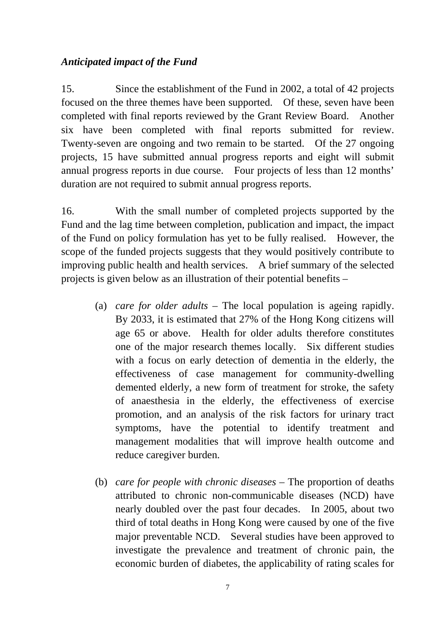### *Anticipated impact of the Fund*

15. Since the establishment of the Fund in 2002, a total of 42 projects focused on the three themes have been supported. Of these, seven have been completed with final reports reviewed by the Grant Review Board. Another six have been completed with final reports submitted for review. Twenty-seven are ongoing and two remain to be started. Of the 27 ongoing projects, 15 have submitted annual progress reports and eight will submit annual progress reports in due course. Four projects of less than 12 months' duration are not required to submit annual progress reports.

16. With the small number of completed projects supported by the Fund and the lag time between completion, publication and impact, the impact of the Fund on policy formulation has yet to be fully realised. However, the scope of the funded projects suggests that they would positively contribute to improving public health and health services. A brief summary of the selected projects is given below as an illustration of their potential benefits –

- (a) *care for older adults* The local population is ageing rapidly. By 2033, it is estimated that 27% of the Hong Kong citizens will age 65 or above. Health for older adults therefore constitutes one of the major research themes locally. Six different studies with a focus on early detection of dementia in the elderly, the effectiveness of case management for community-dwelling demented elderly, a new form of treatment for stroke, the safety of anaesthesia in the elderly, the effectiveness of exercise promotion, and an analysis of the risk factors for urinary tract symptoms, have the potential to identify treatment and management modalities that will improve health outcome and reduce caregiver burden.
- (b) *care for people with chronic diseases* The proportion of deaths attributed to chronic non-communicable diseases (NCD) have nearly doubled over the past four decades. In 2005, about two third of total deaths in Hong Kong were caused by one of the five major preventable NCD. Several studies have been approved to investigate the prevalence and treatment of chronic pain, the economic burden of diabetes, the applicability of rating scales for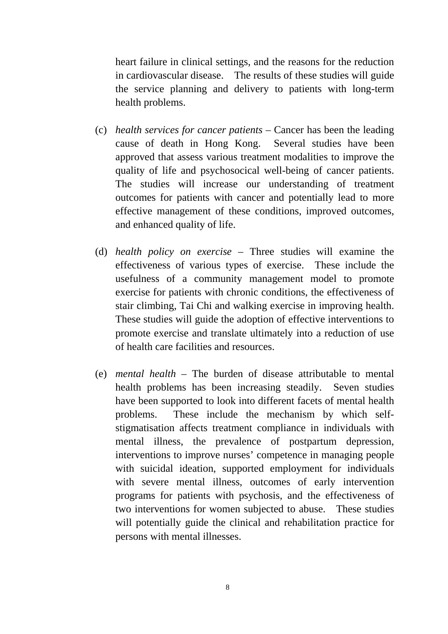heart failure in clinical settings, and the reasons for the reduction in cardiovascular disease. The results of these studies will guide the service planning and delivery to patients with long-term health problems.

- (c) *health services for cancer patients* Cancer has been the leading cause of death in Hong Kong. Several studies have been approved that assess various treatment modalities to improve the quality of life and psychosocical well-being of cancer patients. The studies will increase our understanding of treatment outcomes for patients with cancer and potentially lead to more effective management of these conditions, improved outcomes, and enhanced quality of life.
- (d) *health policy on exercise* Three studies will examine the effectiveness of various types of exercise. These include the usefulness of a community management model to promote exercise for patients with chronic conditions, the effectiveness of stair climbing, Tai Chi and walking exercise in improving health. These studies will guide the adoption of effective interventions to promote exercise and translate ultimately into a reduction of use of health care facilities and resources.
- (e) *mental health* The burden of disease attributable to mental health problems has been increasing steadily. Seven studies have been supported to look into different facets of mental health problems. These include the mechanism by which selfstigmatisation affects treatment compliance in individuals with mental illness, the prevalence of postpartum depression, interventions to improve nurses' competence in managing people with suicidal ideation, supported employment for individuals with severe mental illness, outcomes of early intervention programs for patients with psychosis, and the effectiveness of two interventions for women subjected to abuse. These studies will potentially guide the clinical and rehabilitation practice for persons with mental illnesses.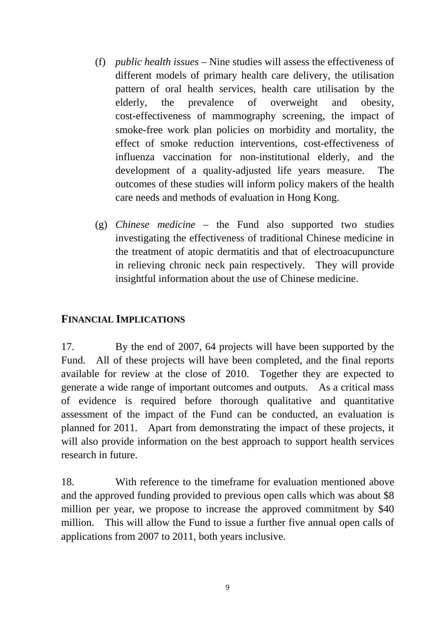- (f) *public health issues* Nine studies will assess the effectiveness of different models of primary health care delivery, the utilisation pattern of oral health services, health care utilisation by the elderly, the prevalence of overweight and obesity, cost-effectiveness of mammography screening, the impact of smoke-free work plan policies on morbidity and mortality, the effect of smoke reduction interventions, cost-effectiveness of influenza vaccination for non-institutional elderly, and the development of a quality-adjusted life years measure. The outcomes of these studies will inform policy makers of the health care needs and methods of evaluation in Hong Kong.
- (g) *Chinese medicine* the Fund also supported two studies investigating the effectiveness of traditional Chinese medicine in the treatment of atopic dermatitis and that of electroacupuncture in relieving chronic neck pain respectively. They will provide insightful information about the use of Chinese medicine.

### **FINANCIAL IMPLICATIONS**

17. By the end of 2007, 64 projects will have been supported by the Fund. All of these projects will have been completed, and the final reports available for review at the close of 2010. Together they are expected to generate a wide range of important outcomes and outputs. As a critical mass of evidence is required before thorough qualitative and quantitative assessment of the impact of the Fund can be conducted, an evaluation is planned for 2011. Apart from demonstrating the impact of these projects, it will also provide information on the best approach to support health services research in future.

18. With reference to the timeframe for evaluation mentioned above and the approved funding provided to previous open calls which was about \$8 million per year, we propose to increase the approved commitment by \$40 million. This will allow the Fund to issue a further five annual open calls of applications from 2007 to 2011, both years inclusive.